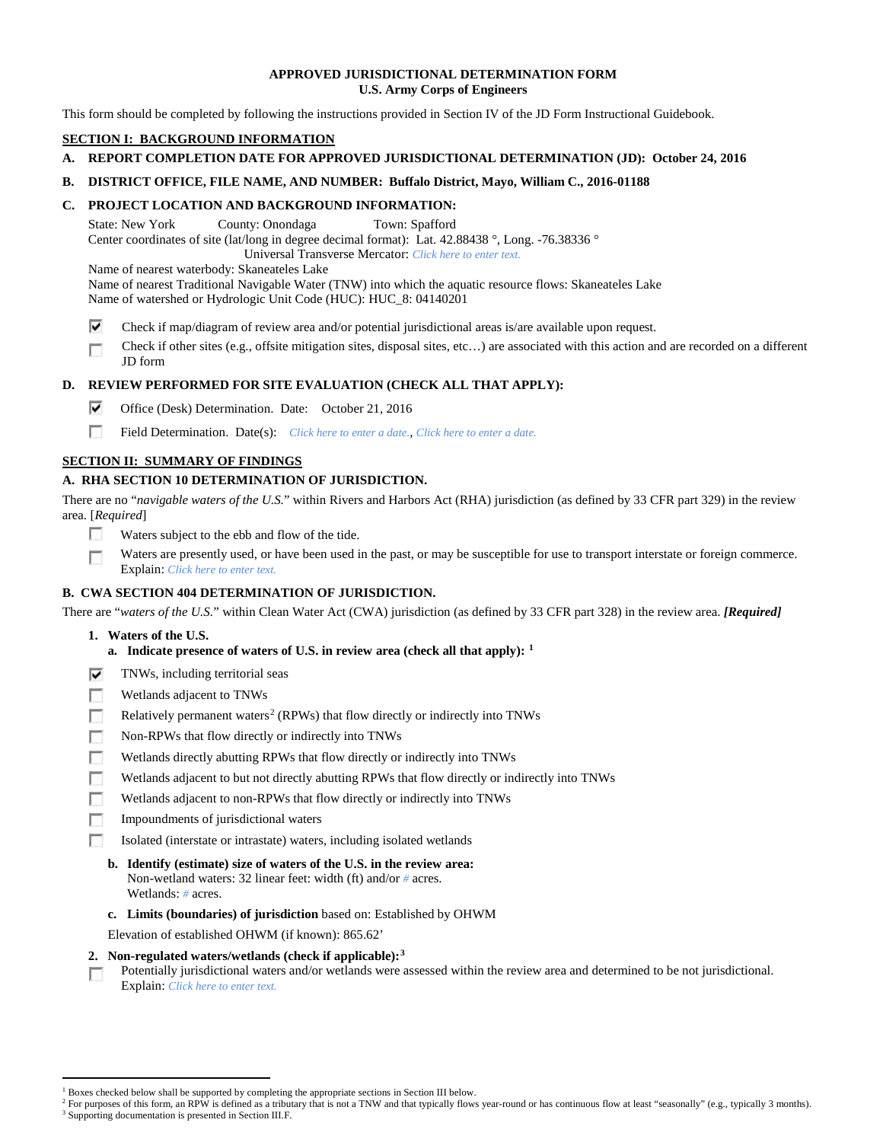### **APPROVED JURISDICTIONAL DETERMINATION FORM U.S. Army Corps of Engineers**

This form should be completed by following the instructions provided in Section IV of the JD Form Instructional Guidebook.

## **SECTION I: BACKGROUND INFORMATION**

## **A. REPORT COMPLETION DATE FOR APPROVED JURISDICTIONAL DETERMINATION (JD): October 24, 2016**

#### **B. DISTRICT OFFICE, FILE NAME, AND NUMBER: Buffalo District, Mayo, William C., 2016-01188**

#### **C. PROJECT LOCATION AND BACKGROUND INFORMATION:**

State: New York County: Onondaga Town: Spafford Center coordinates of site (lat/long in degree decimal format): Lat. 42.88438 °, Long. -76.38336 ° Universal Transverse Mercator: *Click here to enter text.*

Name of nearest waterbody: Skaneateles Lake

Name of nearest Traditional Navigable Water (TNW) into which the aquatic resource flows: Skaneateles Lake

Name of watershed or Hydrologic Unit Code (HUC): HUC\_8: 04140201

- ⊽ Check if map/diagram of review area and/or potential jurisdictional areas is/are available upon request.
- Check if other sites (e.g., offsite mitigation sites, disposal sites, etc…) are associated with this action and are recorded on a different г JD form

## **D. REVIEW PERFORMED FOR SITE EVALUATION (CHECK ALL THAT APPLY):**

- ⊽ Office (Desk) Determination. Date: October 21, 2016
- $\sim$ Field Determination. Date(s): *Click here to enter a date.*, *Click here to enter a date.*

## **SECTION II: SUMMARY OF FINDINGS**

## **A. RHA SECTION 10 DETERMINATION OF JURISDICTION.**

There are no "*navigable waters of the U.S.*" within Rivers and Harbors Act (RHA) jurisdiction (as defined by 33 CFR part 329) in the review area. [*Required*]

- п Waters subject to the ebb and flow of the tide.
- Waters are presently used, or have been used in the past, or may be susceptible for use to transport interstate or foreign commerce. п Explain: *Click here to enter text.*

## **B. CWA SECTION 404 DETERMINATION OF JURISDICTION.**

There are "*waters of the U.S.*" within Clean Water Act (CWA) jurisdiction (as defined by 33 CFR part 328) in the review area. *[Required]*

- **1. Waters of the U.S.**
	- **a. Indicate presence of waters of U.S. in review area (check all that apply): [1](#page-0-0)**
- ⊽ TNWs, including territorial seas
- n Wetlands adjacent to TNWs
- n Relatively permanent waters<sup>[2](#page-0-1)</sup> (RPWs) that flow directly or indirectly into TNWs
- m Non-RPWs that flow directly or indirectly into TNWs
- п Wetlands directly abutting RPWs that flow directly or indirectly into TNWs
- Wetlands adjacent to but not directly abutting RPWs that flow directly or indirectly into TNWs г
- п Wetlands adjacent to non-RPWs that flow directly or indirectly into TNWs
- n. Impoundments of jurisdictional waters
- Isolated (interstate or intrastate) waters, including isolated wetlands п
	- **b. Identify (estimate) size of waters of the U.S. in the review area:** Non-wetland waters: 32 linear feet: width (ft) and/or *#* acres. Wetlands: *#* acres.
	- **c. Limits (boundaries) of jurisdiction** based on: Established by OHWM

Elevation of established OHWM (if known): 865.62'

- **2. Non-regulated waters/wetlands (check if applicable):[3](#page-0-2)**
- Potentially jurisdictional waters and/or wetlands were assessed within the review area and determined to be not jurisdictional. п Explain: *Click here to enter text.*

<sup>&</sup>lt;sup>1</sup> Boxes checked below shall be supported by completing the appropriate sections in Section III below.

<span id="page-0-2"></span><span id="page-0-1"></span><span id="page-0-0"></span>For purposes of this form, an RPW is defined as a tributary that is not a TNW and that typically flows year-round or has continuous flow at least "seasonally" (e.g., typically 3 months). <sup>3</sup> Supporting documentation is presented in Section III.F.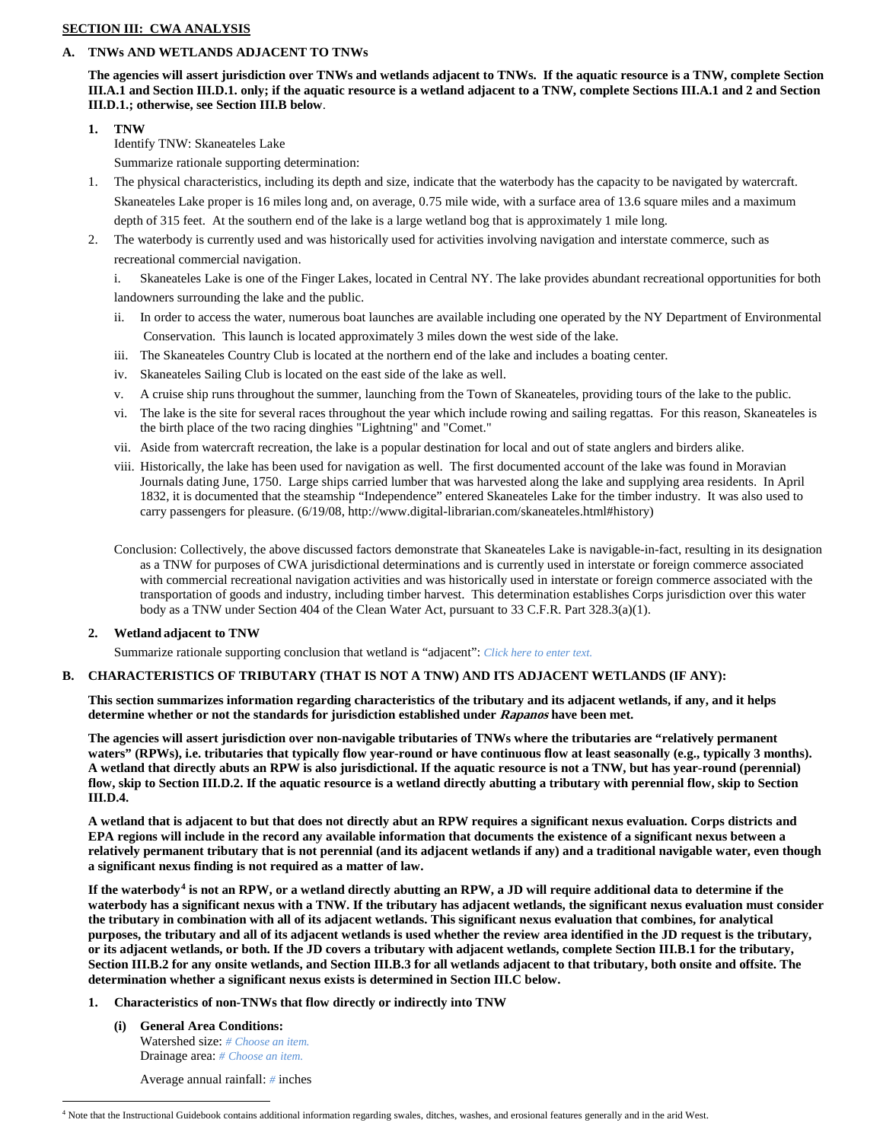## **SECTION III: CWA ANALYSIS**

## **A. TNWs AND WETLANDS ADJACENT TO TNWs**

**The agencies will assert jurisdiction over TNWs and wetlands adjacent to TNWs. If the aquatic resource is a TNW, complete Section III.A.1 and Section III.D.1. only; if the aquatic resource is a wetland adjacent to a TNW, complete Sections III.A.1 and 2 and Section III.D.1.; otherwise, see Section III.B below**.

**1. TNW**  Identify TNW: Skaneateles Lake Summarize rationale supporting determination:

1. The physical characteristics, including its depth and size, indicate that the waterbody has the capacity to be navigated by watercraft. Skaneateles Lake proper is 16 miles long and, on average, 0.75 mile wide, with a surface area of 13.6 square miles and a maximum depth of 315 feet. At the southern end of the lake is a large wetland bog that is approximately 1 mile long.

2. The waterbody is currently used and was historically used for activities involving navigation and interstate commerce, such as recreational commercial navigation.

i. Skaneateles Lake is one of the Finger Lakes, located in Central NY. The lake provides abundant recreational opportunities for both landowners surrounding the lake and the public.

- ii. In order to access the water, numerous boat launches are available including one operated by the NY Department of Environmental Conservation. This launch is located approximately 3 miles down the west side of the lake.
- iii. The Skaneateles Country Club is located at the northern end of the lake and includes a boating center.
- iv. Skaneateles Sailing Club is located on the east side of the lake as well.
- v. A cruise ship runs throughout the summer, launching from the Town of Skaneateles, providing tours of the lake to the public.
- vi. The lake is the site for several races throughout the year which include rowing and sailing regattas. For this reason, Skaneateles is the birth place of the two racing dinghies "Lightning" and "Comet."
- vii. Aside from watercraft recreation, the lake is a popular destination for local and out of state anglers and birders alike.
- viii. Historically, the lake has been used for navigation as well. The first documented account of the lake was found in Moravian Journals dating June, 1750. Large ships carried lumber that was harvested along the lake and supplying area residents. In April 1832, it is documented that the steamship "Independence" entered Skaneateles Lake for the timber industry. It was also used to carry passengers for pleasure. (6/19/08, http://www.digital-librarian.com/skaneateles.html#history)
- Conclusion: Collectively, the above discussed factors demonstrate that Skaneateles Lake is navigable-in-fact, resulting in its designation as a TNW for purposes of CWA jurisdictional determinations and is currently used in interstate or foreign commerce associated with commercial recreational navigation activities and was historically used in interstate or foreign commerce associated with the transportation of goods and industry, including timber harvest. This determination establishes Corps jurisdiction over this water body as a TNW under Section 404 of the Clean Water Act, pursuant to 33 C.F.R. Part 328.3(a)(1).

## **2. Wetland adjacent to TNW**

Summarize rationale supporting conclusion that wetland is "adjacent": *Click here to enter text.*

## **B. CHARACTERISTICS OF TRIBUTARY (THAT IS NOT A TNW) AND ITS ADJACENT WETLANDS (IF ANY):**

**This section summarizes information regarding characteristics of the tributary and its adjacent wetlands, if any, and it helps determine whether or not the standards for jurisdiction established under Rapanos have been met.** 

**The agencies will assert jurisdiction over non-navigable tributaries of TNWs where the tributaries are "relatively permanent waters" (RPWs), i.e. tributaries that typically flow year-round or have continuous flow at least seasonally (e.g., typically 3 months). A wetland that directly abuts an RPW is also jurisdictional. If the aquatic resource is not a TNW, but has year-round (perennial) flow, skip to Section III.D.2. If the aquatic resource is a wetland directly abutting a tributary with perennial flow, skip to Section III.D.4.**

**A wetland that is adjacent to but that does not directly abut an RPW requires a significant nexus evaluation. Corps districts and EPA regions will include in the record any available information that documents the existence of a significant nexus between a relatively permanent tributary that is not perennial (and its adjacent wetlands if any) and a traditional navigable water, even though a significant nexus finding is not required as a matter of law.**

**If the waterbody[4](#page-1-0) is not an RPW, or a wetland directly abutting an RPW, a JD will require additional data to determine if the waterbody has a significant nexus with a TNW. If the tributary has adjacent wetlands, the significant nexus evaluation must consider the tributary in combination with all of its adjacent wetlands. This significant nexus evaluation that combines, for analytical purposes, the tributary and all of its adjacent wetlands is used whether the review area identified in the JD request is the tributary, or its adjacent wetlands, or both. If the JD covers a tributary with adjacent wetlands, complete Section III.B.1 for the tributary, Section III.B.2 for any onsite wetlands, and Section III.B.3 for all wetlands adjacent to that tributary, both onsite and offsite. The determination whether a significant nexus exists is determined in Section III.C below.**

# **1. Characteristics of non-TNWs that flow directly or indirectly into TNW**

**(i) General Area Conditions:** Watershed size: *# Choose an item.* Drainage area: *# Choose an item.*

Average annual rainfall: *#* inches

<span id="page-1-0"></span> <sup>4</sup> Note that the Instructional Guidebook contains additional information regarding swales, ditches, washes, and erosional features generally and in the arid West.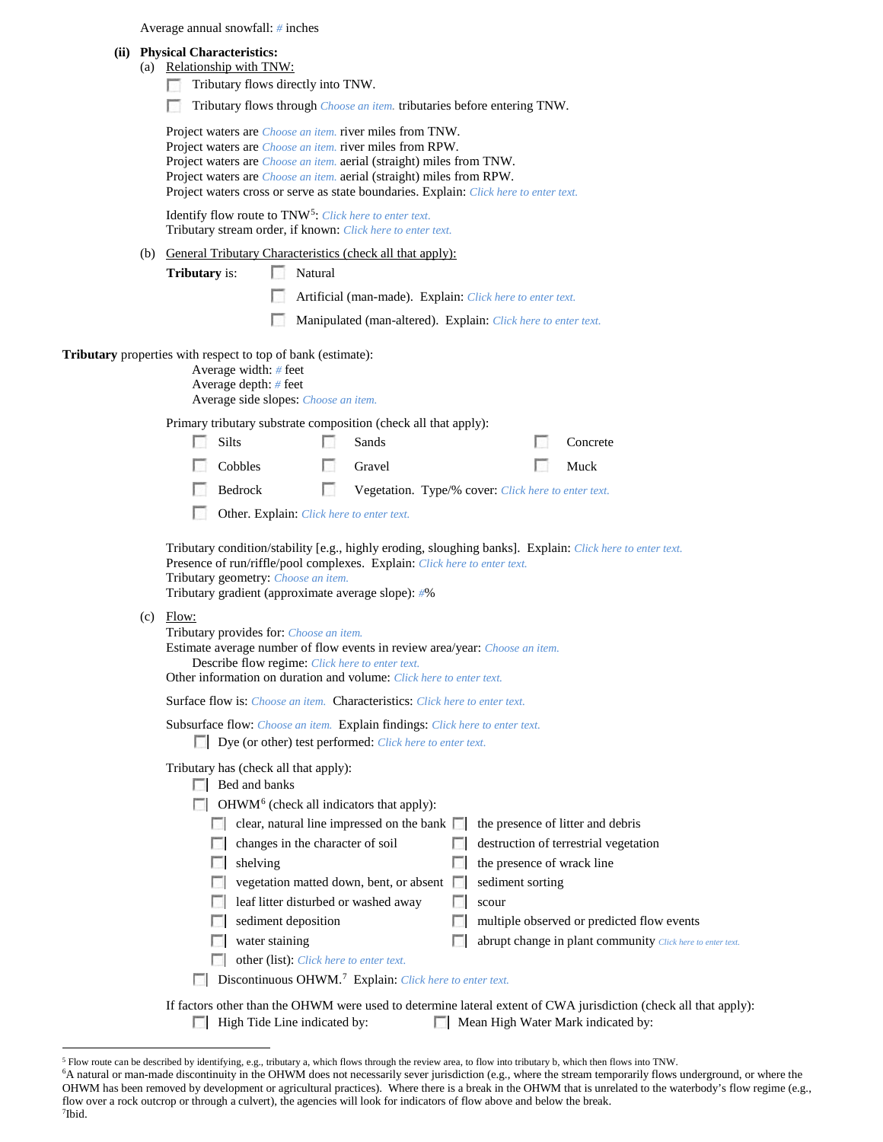| Average annual snowfall: # inches |  |  |
|-----------------------------------|--|--|
|-----------------------------------|--|--|

| (a) | Relationship with TNW: |  |
|-----|------------------------|--|
|     |                        |  |

| Tributary flows directly into TNW. |  |  |
|------------------------------------|--|--|
|                                    |  |  |

Tributary flows through *Choose an item*. tributaries before entering TNW.

| Project waters are <i>Choose an item</i> , river miles from TNW.                      |
|---------------------------------------------------------------------------------------|
| Project waters are <i>Choose an item</i> , river miles from RPW.                      |
| Project waters are <i>Choose an item.</i> aerial (straight) miles from TNW.           |
| Project waters are <i>Choose an item.</i> aerial (straight) miles from RPW.           |
| Project waters cross or serve as state boundaries. Explain: Click here to enter text. |

Identify flow route to TNW[5:](#page-2-0) *Click here to enter text.* Tributary stream order, if known: *Click here to enter text.*

(b) General Tributary Characteristics (check all that apply):

**Tributary** is: Natural

- Artificial (man-made). Explain: *Click here to enter text.*
- Manipulated (man-altered). Explain: *Click here to enter text.*

**Tributary** properties with respect to top of bank (estimate):

Average width: *#* feet Average depth: *#* feet Average side slopes: *Choose an item.*

Primary tributary substrate composition (check all that apply):

| $\blacksquare$ Silts | Sands                                                                        | <b>Concrete</b> |
|----------------------|------------------------------------------------------------------------------|-----------------|
| $\Box$ Cobbles       | <b>Cravel</b>                                                                | $\Box$ Muck     |
| Bedrock B            | <b>Example 20</b> Vegetation. Type/% cover: <i>Click here to enter text.</i> |                 |

Other. Explain: *Click here to enter text.*

Tributary condition/stability [e.g., highly eroding, sloughing banks]. Explain: *Click here to enter text.* Presence of run/riffle/pool complexes. Explain: *Click here to enter text.* Tributary geometry: *Choose an item.* Tributary gradient (approximate average slope): *#*%

 $(c)$  Flow:

| Tributary provides for: Choose an item.                                                                                |
|------------------------------------------------------------------------------------------------------------------------|
| Estimate average number of flow events in review area/year: Choose an item.                                            |
| Describe flow regime: Click here to enter text.<br>Other information on duration and volume: Click here to enter text. |
| <b>Surface flow is:</b> <i>Choose an item.</i> <b>Characteristics:</b> <i>Click here to enter text.</i>                |
| Subsurface flow: Choose an item. Explain findings: Click here to enter text.                                           |
| $\Box$ Dye (or other) test performed: <i>Click here to enter text.</i>                                                 |

Tributary has (check all that apply):

|                                                                     | Bed and banks                                    |  |                                                            |  |  |  |
|---------------------------------------------------------------------|--------------------------------------------------|--|------------------------------------------------------------|--|--|--|
|                                                                     | $OHWM6$ (check all indicators that apply):       |  |                                                            |  |  |  |
|                                                                     | clear, natural line impressed on the bank $\Box$ |  | the presence of litter and debris                          |  |  |  |
|                                                                     | changes in the character of soil                 |  | destruction of terrestrial vegetation                      |  |  |  |
|                                                                     | shelving                                         |  | the presence of wrack line                                 |  |  |  |
|                                                                     | vegetation matted down, bent, or absent          |  | sediment sorting                                           |  |  |  |
|                                                                     | leaf litter disturbed or washed away             |  | scour                                                      |  |  |  |
|                                                                     | sediment deposition                              |  | multiple observed or predicted flow events                 |  |  |  |
|                                                                     | water staining                                   |  | abrupt change in plant community Click here to enter text. |  |  |  |
|                                                                     | other (list): <i>Click here to enter text.</i>   |  |                                                            |  |  |  |
| Discontinuous OHWM. <sup>7</sup> Explain: Click here to enter text. |                                                  |  |                                                            |  |  |  |
|                                                                     |                                                  |  |                                                            |  |  |  |

If factors other than the OHWM were used to determine lateral extent of CWA jurisdiction (check all that apply): High Tide Line indicated by: Mean High Water Mark indicated by:

<span id="page-2-0"></span> <sup>5</sup> Flow route can be described by identifying, e.g., tributary a, which flows through the review area, to flow into tributary b, which then flows into TNW.

<span id="page-2-2"></span><span id="page-2-1"></span><sup>6</sup> A natural or man-made discontinuity in the OHWM does not necessarily sever jurisdiction (e.g., where the stream temporarily flows underground, or where the OHWM has been removed by development or agricultural practices). Where there is a break in the OHWM that is unrelated to the waterbody's flow regime (e.g., flow over a rock outcrop or through a culvert), the agencies will look for indicators of flow above and below the break. 7 Ibid.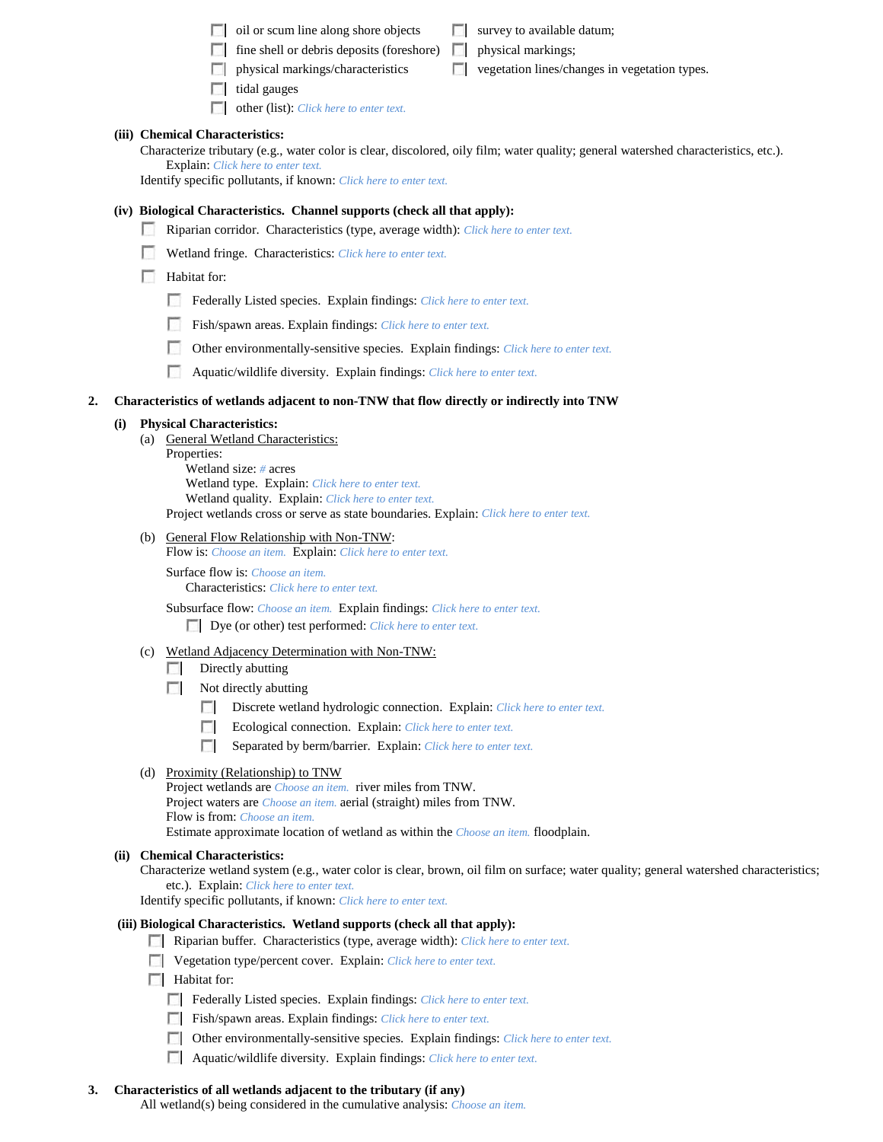| $\Box$ oil or scum line along shore objects                                | $\Box$ survey to available datum; |
|----------------------------------------------------------------------------|-----------------------------------|
| $\Box$ fine shell or debris deposits (foreshore) $\Box$ physical markings; |                                   |

- 
- $\Box$  physical markings/characteristics  $\Box$  vegetation lines/changes in vegetation types.
- $\Box$  tidal gauges
- other (list): *Click here to enter text.*

## **(iii) Chemical Characteristics:**

Characterize tributary (e.g., water color is clear, discolored, oily film; water quality; general watershed characteristics, etc.). Explain: *Click here to enter text.*

Identify specific pollutants, if known: *Click here to enter text.*

### **(iv) Biological Characteristics. Channel supports (check all that apply):**

- Riparian corridor. Characteristics (type, average width): *Click here to enter text.*
- Wetland fringe. Characteristics: *Click here to enter text.*

#### $\Box$  Habitat for:

- Federally Listed species. Explain findings: *Click here to enter text*.
- Fish/spawn areas. Explain findings: *Click here to enter text.*
- Other environmentally-sensitive species. Explain findings: *Click here to enter text.*
- Aquatic/wildlife diversity. Explain findings: *Click here to enter text.*

#### **2. Characteristics of wetlands adjacent to non-TNW that flow directly or indirectly into TNW**

#### **(i) Physical Characteristics:**

- (a) General Wetland Characteristics:
	- Properties: Wetland size: *#* acres Wetland type. Explain: *Click here to enter text.* Wetland quality. Explain: *Click here to enter text.* Project wetlands cross or serve as state boundaries. Explain: *Click here to enter text.*
- (b) General Flow Relationship with Non-TNW:

Flow is: *Choose an item.* Explain: *Click here to enter text.*

Surface flow is: *Choose an item.* Characteristics: *Click here to enter text.*

Subsurface flow: *Choose an item.* Explain findings: *Click here to enter text.* Dye (or other) test performed: *Click here to enter text.*

- (c) Wetland Adjacency Determination with Non-TNW:
	- $\Box$  Directly abutting
	- $\Box$  Not directly abutting
		- Discrete wetland hydrologic connection. Explain: *Click here to enter text*.
		- **1999** Ecological connection. Explain: *Click here to enter text.*
		- Separated by berm/barrier. Explain: *Click here to enter text.*

## (d) Proximity (Relationship) to TNW

Project wetlands are *Choose an item.* river miles from TNW. Project waters are *Choose an item.* aerial (straight) miles from TNW. Flow is from: *Choose an item.* Estimate approximate location of wetland as within the *Choose an item.* floodplain.

#### **(ii) Chemical Characteristics:**

Characterize wetland system (e.g., water color is clear, brown, oil film on surface; water quality; general watershed characteristics; etc.). Explain: *Click here to enter text.*

Identify specific pollutants, if known: *Click here to enter text.*

## **(iii) Biological Characteristics. Wetland supports (check all that apply):**

- Riparian buffer. Characteristics (type, average width): *Click here to enter text.*
- Vegetation type/percent cover. Explain: *Click here to enter text.*
- $\Box$  Habitat for:
	- Federally Listed species. Explain findings: *Click here to enter text*.
	- Fish/spawn areas. Explain findings: *Click here to enter text.*
	- Other environmentally-sensitive species. Explain findings: *Click here to enter text.*
	- Aquatic/wildlife diversity. Explain findings: *Click here to enter text.*

## **3. Characteristics of all wetlands adjacent to the tributary (if any)**

All wetland(s) being considered in the cumulative analysis: *Choose an item.*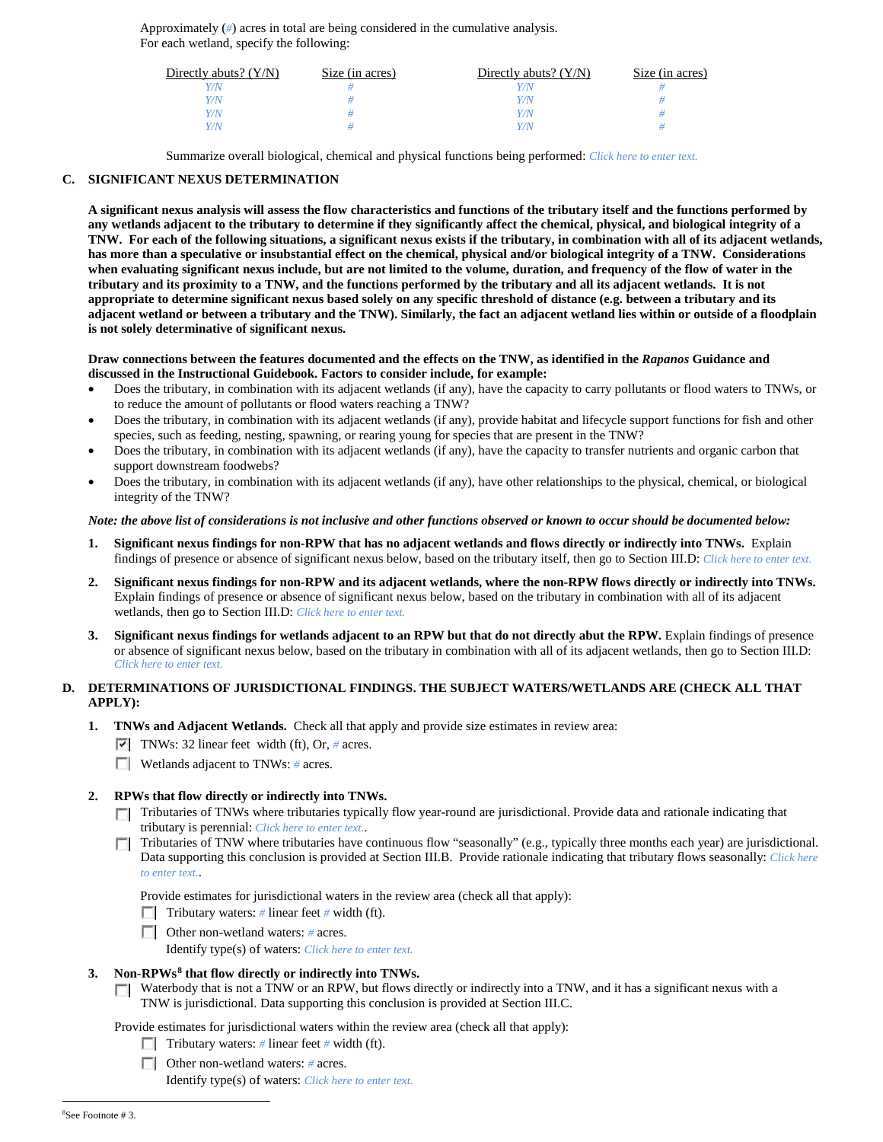Approximately (*#*) acres in total are being considered in the cumulative analysis. For each wetland, specify the following:

| Directly abuts? $(Y/N)$ | Size (in acres) | Directly abuts? $(Y/N)$ | Size (in acres) |
|-------------------------|-----------------|-------------------------|-----------------|
|                         |                 |                         |                 |
| Y/N                     |                 | Y/N                     |                 |
| Y/N                     |                 | Y/N                     |                 |
|                         |                 | Y/N                     |                 |

Summarize overall biological, chemical and physical functions being performed: *Click here to enter text.*

#### **C. SIGNIFICANT NEXUS DETERMINATION**

**A significant nexus analysis will assess the flow characteristics and functions of the tributary itself and the functions performed by any wetlands adjacent to the tributary to determine if they significantly affect the chemical, physical, and biological integrity of a TNW. For each of the following situations, a significant nexus exists if the tributary, in combination with all of its adjacent wetlands, has more than a speculative or insubstantial effect on the chemical, physical and/or biological integrity of a TNW. Considerations when evaluating significant nexus include, but are not limited to the volume, duration, and frequency of the flow of water in the tributary and its proximity to a TNW, and the functions performed by the tributary and all its adjacent wetlands. It is not appropriate to determine significant nexus based solely on any specific threshold of distance (e.g. between a tributary and its adjacent wetland or between a tributary and the TNW). Similarly, the fact an adjacent wetland lies within or outside of a floodplain is not solely determinative of significant nexus.** 

#### **Draw connections between the features documented and the effects on the TNW, as identified in the** *Rapanos* **Guidance and discussed in the Instructional Guidebook. Factors to consider include, for example:**

- Does the tributary, in combination with its adjacent wetlands (if any), have the capacity to carry pollutants or flood waters to TNWs, or to reduce the amount of pollutants or flood waters reaching a TNW?
- Does the tributary, in combination with its adjacent wetlands (if any), provide habitat and lifecycle support functions for fish and other species, such as feeding, nesting, spawning, or rearing young for species that are present in the TNW?
- Does the tributary, in combination with its adjacent wetlands (if any), have the capacity to transfer nutrients and organic carbon that support downstream foodwebs?
- Does the tributary, in combination with its adjacent wetlands (if any), have other relationships to the physical, chemical, or biological integrity of the TNW?

#### *Note: the above list of considerations is not inclusive and other functions observed or known to occur should be documented below:*

- **1. Significant nexus findings for non-RPW that has no adjacent wetlands and flows directly or indirectly into TNWs.** Explain findings of presence or absence of significant nexus below, based on the tributary itself, then go to Section III.D: *Click here to enter text.*
- **2. Significant nexus findings for non-RPW and its adjacent wetlands, where the non-RPW flows directly or indirectly into TNWs.**  Explain findings of presence or absence of significant nexus below, based on the tributary in combination with all of its adjacent wetlands, then go to Section III.D: *Click here to enter text.*
- **3. Significant nexus findings for wetlands adjacent to an RPW but that do not directly abut the RPW.** Explain findings of presence or absence of significant nexus below, based on the tributary in combination with all of its adjacent wetlands, then go to Section III.D: *Click here to enter text.*

## **D. DETERMINATIONS OF JURISDICTIONAL FINDINGS. THE SUBJECT WATERS/WETLANDS ARE (CHECK ALL THAT APPLY):**

- **1. TNWs and Adjacent Wetlands.** Check all that apply and provide size estimates in review area:
	- TNWs: 32 linear feet width (ft), Or, *#* acres.
	- **Wetlands adjacent to TNWs: # acres.**

#### **2. RPWs that flow directly or indirectly into TNWs.**

- Tributaries of TNWs where tributaries typically flow year-round are jurisdictional. Provide data and rationale indicating that tributary is perennial: *Click here to enter text.*.
- Tributaries of TNW where tributaries have continuous flow "seasonally" (e.g., typically three months each year) are jurisdictional. Data supporting this conclusion is provided at Section III.B. Provide rationale indicating that tributary flows seasonally: *Click here to enter text.*.

Provide estimates for jurisdictional waters in the review area (check all that apply):

- Tributary waters: # linear feet # width (ft).
- Other non-wetland waters: *#* acres.
	- Identify type(s) of waters: *Click here to enter text.*

### **3. Non-RPWs[8](#page-4-0) that flow directly or indirectly into TNWs.**

 $\Box$  Waterbody that is not a TNW or an RPW, but flows directly or indirectly into a TNW, and it has a significant nexus with a TNW is jurisdictional. Data supporting this conclusion is provided at Section III.C.

<span id="page-4-0"></span>Provide estimates for jurisdictional waters within the review area (check all that apply):

- Tributary waters: # linear feet # width (ft).
- Other non-wetland waters: # acres.

Identify type(s) of waters: *Click here to enter text.*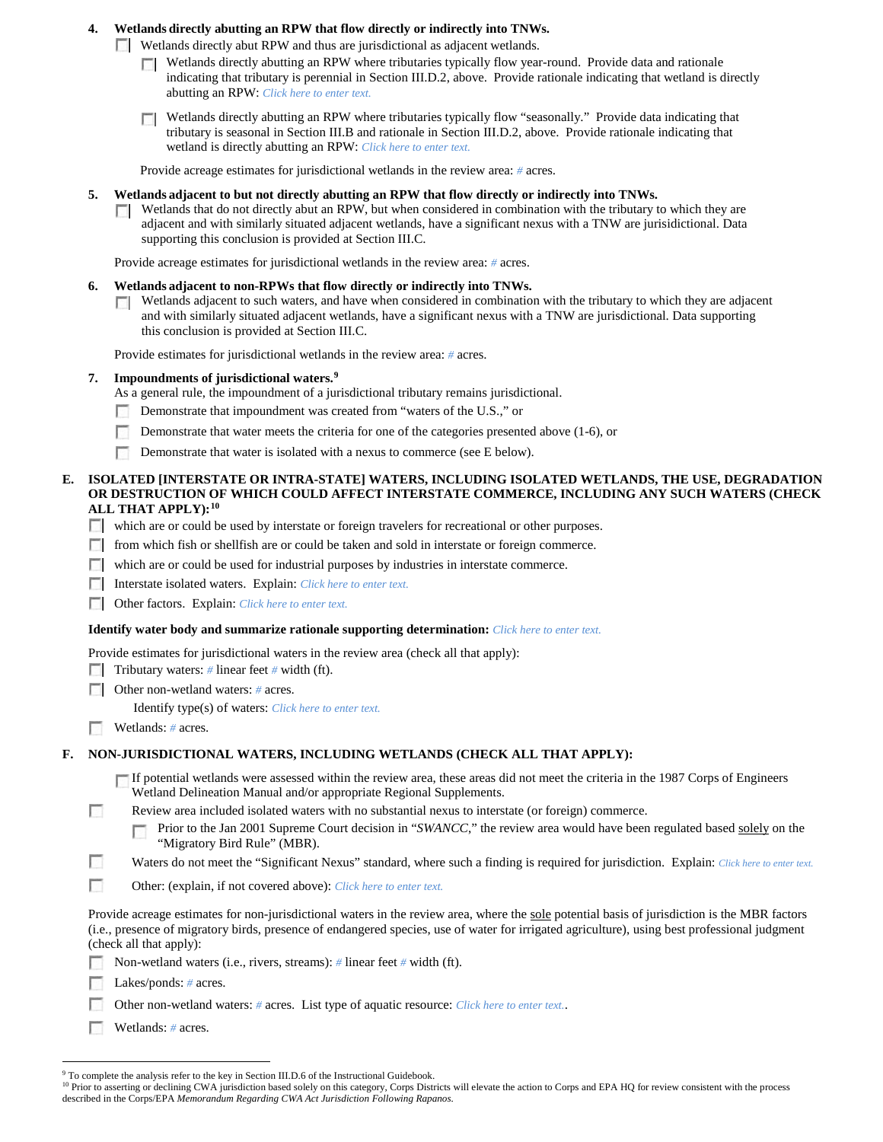## **4. Wetlands directly abutting an RPW that flow directly or indirectly into TNWs.**

Wetlands directly abut RPW and thus are jurisdictional as adjacent wetlands.

- Wetlands directly abutting an RPW where tributaries typically flow year-round. Provide data and rationale indicating that tributary is perennial in Section III.D.2, above. Provide rationale indicating that wetland is directly abutting an RPW: *Click here to enter text.*
- Wetlands directly abutting an RPW where tributaries typically flow "seasonally." Provide data indicating that **TT** tributary is seasonal in Section III.B and rationale in Section III.D.2, above. Provide rationale indicating that wetland is directly abutting an RPW: *Click here to enter text.*

Provide acreage estimates for jurisdictional wetlands in the review area: *#* acres.

- **5. Wetlands adjacent to but not directly abutting an RPW that flow directly or indirectly into TNWs.**
	- Wetlands that do not directly abut an RPW, but when considered in combination with the tributary to which they are **TT** adjacent and with similarly situated adjacent wetlands, have a significant nexus with a TNW are jurisidictional. Data supporting this conclusion is provided at Section III.C.

Provide acreage estimates for jurisdictional wetlands in the review area: *#* acres.

- **6. Wetlands adjacent to non-RPWs that flow directly or indirectly into TNWs.** 
	- Wetlands adjacent to such waters, and have when considered in combination with the tributary to which they are adjacent  $\mathcal{L}$ and with similarly situated adjacent wetlands, have a significant nexus with a TNW are jurisdictional. Data supporting this conclusion is provided at Section III.C.

Provide estimates for jurisdictional wetlands in the review area: *#* acres.

- **7. Impoundments of jurisdictional waters. [9](#page-5-0)**
	- As a general rule, the impoundment of a jurisdictional tributary remains jurisdictional.
	- Demonstrate that impoundment was created from "waters of the U.S.," or n.
	- п. Demonstrate that water meets the criteria for one of the categories presented above (1-6), or
	- Demonstrate that water is isolated with a nexus to commerce (see E below).
- **E. ISOLATED [INTERSTATE OR INTRA-STATE] WATERS, INCLUDING ISOLATED WETLANDS, THE USE, DEGRADATION OR DESTRUCTION OF WHICH COULD AFFECT INTERSTATE COMMERCE, INCLUDING ANY SUCH WATERS (CHECK ALL THAT APPLY):[10](#page-5-1)**
	- which are or could be used by interstate or foreign travelers for recreational or other purposes.
	- from which fish or shellfish are or could be taken and sold in interstate or foreign commerce.
	- which are or could be used for industrial purposes by industries in interstate commerce.
	- Interstate isolated waters.Explain: *Click here to enter text.*
	- Other factors.Explain: *Click here to enter text.*

#### **Identify water body and summarize rationale supporting determination:** *Click here to enter text.*

Provide estimates for jurisdictional waters in the review area (check all that apply):

- **Tributary waters:** # linear feet # width (ft).
- Other non-wetland waters: *#* acres.

Identify type(s) of waters: *Click here to enter text.*

Wetlands: # acres.

#### **F. NON-JURISDICTIONAL WATERS, INCLUDING WETLANDS (CHECK ALL THAT APPLY):**

If potential wetlands were assessed within the review area, these areas did not meet the criteria in the 1987 Corps of Engineers Wetland Delineation Manual and/or appropriate Regional Supplements.

n Review area included isolated waters with no substantial nexus to interstate (or foreign) commerce.

Prior to the Jan 2001 Supreme Court decision in "*SWANCC*," the review area would have been regulated based solely on the П "Migratory Bird Rule" (MBR).

п Waters do not meet the "Significant Nexus" standard, where such a finding is required for jurisdiction. Explain: *Click here to enter text.* 

г Other: (explain, if not covered above): *Click here to enter text.*

Provide acreage estimates for non-jurisdictional waters in the review area, where the sole potential basis of jurisdiction is the MBR factors (i.e., presence of migratory birds, presence of endangered species, use of water for irrigated agriculture), using best professional judgment (check all that apply):

Non-wetland waters (i.e., rivers, streams): *#* linear feet *#* width (ft).

**Lakes/ponds:** # acres.

Other non-wetland waters: *#* acres. List type of aquatic resource: *Click here to enter text.*.

Wetlands: *#* acres.

<sup>&</sup>lt;sup>9</sup> To complete the analysis refer to the key in Section III.D.6 of the Instructional Guidebook.

<span id="page-5-1"></span><span id="page-5-0"></span><sup>&</sup>lt;sup>10</sup> Prior to asserting or declining CWA jurisdiction based solely on this category, Corps Districts will elevate the action to Corps and EPA HQ for review consistent with the process described in the Corps/EPA *Memorandum Regarding CWA Act Jurisdiction Following Rapanos.*